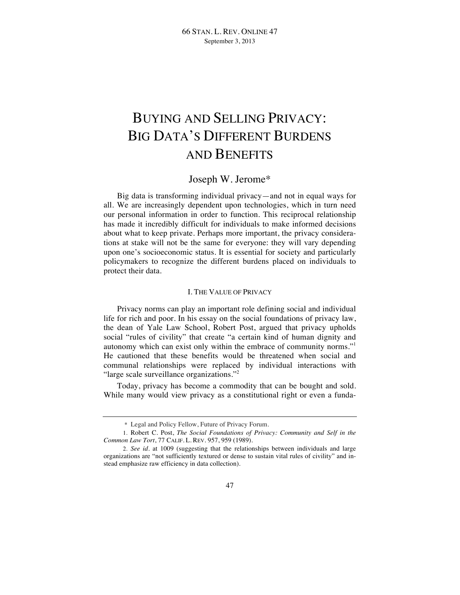# BUYING AND SELLING PRIVACY: BIG DATA'S DIFFERENT BURDENS AND BENEFITS

# Joseph W. Jerome\*

Big data is transforming individual privacy—and not in equal ways for all. We are increasingly dependent upon technologies, which in turn need our personal information in order to function. This reciprocal relationship has made it incredibly difficult for individuals to make informed decisions about what to keep private. Perhaps more important, the privacy considerations at stake will not be the same for everyone: they will vary depending upon one's socioeconomic status. It is essential for society and particularly policymakers to recognize the different burdens placed on individuals to protect their data.

#### I. THE VALUE OF PRIVACY

Privacy norms can play an important role defining social and individual life for rich and poor. In his essay on the social foundations of privacy law, the dean of Yale Law School, Robert Post, argued that privacy upholds social "rules of civility" that create "a certain kind of human dignity and autonomy which can exist only within the embrace of community norms."<sup>1</sup> He cautioned that these benefits would be threatened when social and communal relationships were replaced by individual interactions with "large scale surveillance organizations."<sup>2</sup>

Today, privacy has become a commodity that can be bought and sold. While many would view privacy as a constitutional right or even a funda-

<sup>\*</sup> Legal and Policy Fellow, Future of Privacy Forum.

<sup>1.</sup> Robert C. Post, *The Social Foundations of Privacy: Community and Self in the Common Law Tort*, 77 CALIF. L. REV. 957, 959 (1989).

<sup>2.</sup> *See id.* at 1009 (suggesting that the relationships between individuals and large organizations are "not sufficiently textured or dense to sustain vital rules of civility" and instead emphasize raw efficiency in data collection).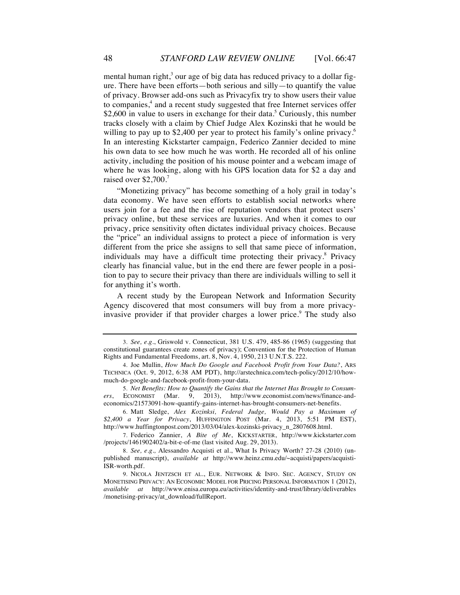mental human right, $3$  our age of big data has reduced privacy to a dollar figure. There have been efforts—both serious and silly—to quantify the value of privacy. Browser add-ons such as Privacyfix try to show users their value to companies,<sup>4</sup> and a recent study suggested that free Internet services offer \$2,600 in value to users in exchange for their data.<sup>5</sup> Curiously, this number tracks closely with a claim by Chief Judge Alex Kozinski that he would be willing to pay up to \$2,400 per year to protect his family's online privacy.<sup>6</sup> In an interesting Kickstarter campaign, Federico Zannier decided to mine his own data to see how much he was worth. He recorded all of his online activity, including the position of his mouse pointer and a webcam image of where he was looking, along with his GPS location data for \$2 a day and raised over \$2,700.<sup>7</sup>

"Monetizing privacy" has become something of a holy grail in today's data economy. We have seen efforts to establish social networks where users join for a fee and the rise of reputation vendors that protect users' privacy online, but these services are luxuries. And when it comes to our privacy, price sensitivity often dictates individual privacy choices. Because the "price" an individual assigns to protect a piece of information is very different from the price she assigns to sell that same piece of information, individuals may have a difficult time protecting their privacy.<sup>8</sup> Privacy clearly has financial value, but in the end there are fewer people in a position to pay to secure their privacy than there are individuals willing to sell it for anything it's worth.

A recent study by the European Network and Information Security Agency discovered that most consumers will buy from a more privacyinvasive provider if that provider charges a lower price.<sup>9</sup> The study also

<sup>3.</sup> *See, e.g.*, Griswold v. Connecticut, 381 U.S. 479, 485-86 (1965) (suggesting that constitutional guarantees create zones of privacy); Convention for the Protection of Human Rights and Fundamental Freedoms, art. 8, Nov. 4, 1950, 213 U.N.T.S. 222.

<sup>4.</sup> Joe Mullin, *How Much Do Google and Facebook Profit from Your Data?*, ARS TECHNICA (Oct. 9, 2012, 6:38 AM PDT), http://arstechnica.com/tech-policy/2012/10/howmuch-do-google-and-facebook-profit-from-your-data.

<sup>5.</sup> *Net Benefits: How to Quantify the Gains that the Internet Has Brought to Consumers*, ECONOMIST (Mar. 9, 2013), http://www.economist.com/news/finance-andeconomics/21573091-how-quantify-gains-internet-has-brought-consumers-net-benefits.

<sup>6.</sup> Matt Sledge, *Alex Kozinksi, Federal Judge, Would Pay a Maximum of \$2,400 a Year for Privacy*, HUFFINGTON POST (Mar. 4, 2013, 5:51 PM EST), http://www.huffingtonpost.com/2013/03/04/alex-kozinski-privacy\_n\_2807608.html.

<sup>7.</sup> Federico Zannier, *A Bite of Me*, KICKSTARTER, http://www.kickstarter.com /projects/1461902402/a-bit-e-of-me (last visited Aug. 29, 2013).

<sup>8.</sup> *See, e.g.,* Alessandro Acquisti et al., What Is Privacy Worth? 27-28 (2010) (unpublished manuscript), *available at* http://www.heinz.cmu.edu/~acquisti/papers/acquisti-ISR-worth.pdf.

<sup>9.</sup> NICOLA JENTZSCH ET AL., EUR. NETWORK & INFO. SEC. AGENCY, STUDY ON MONETISING PRIVACY: AN ECONOMIC MODEL FOR PRICING PERSONAL INFORMATION 1 (2012), *available at* http://www.enisa.europa.eu/activities/identity-and-trust/library/deliverables /monetising-privacy/at\_download/fullReport.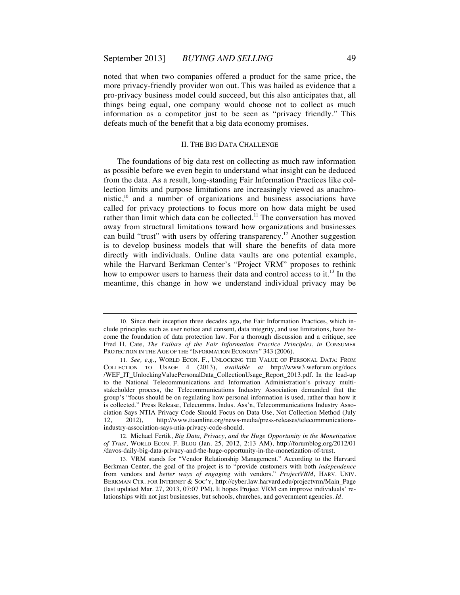noted that when two companies offered a product for the same price, the more privacy-friendly provider won out. This was hailed as evidence that a pro-privacy business model could succeed, but this also anticipates that, all things being equal, one company would choose not to collect as much information as a competitor just to be seen as "privacy friendly." This defeats much of the benefit that a big data economy promises.

# II. THE BIG DATA CHALLENGE

The foundations of big data rest on collecting as much raw information as possible before we even begin to understand what insight can be deduced from the data. As a result, long-standing Fair Information Practices like collection limits and purpose limitations are increasingly viewed as anachronistic,<sup>10</sup> and a number of organizations and business associations have called for privacy protections to focus more on how data might be used rather than limit which data can be collected.<sup>11</sup> The conversation has moved away from structural limitations toward how organizations and businesses can build "trust" with users by offering transparency.<sup>12</sup> Another suggestion is to develop business models that will share the benefits of data more directly with individuals. Online data vaults are one potential example, while the Harvard Berkman Center's "Project VRM" proposes to rethink how to empower users to harness their data and control access to it.<sup>13</sup> In the meantime, this change in how we understand individual privacy may be

12. Michael Fertik, *Big Data, Privacy, and the Huge Opportunity in the Monetization of Trust*, WORLD ECON. F. BLOG (Jan. 25, 2012, 2:13 AM), http://forumblog.org/2012/01 /davos-daily-big-data-privacy-and-the-huge-opportunity-in-the-monetization-of-trust.

<sup>10.</sup> Since their inception three decades ago, the Fair Information Practices, which include principles such as user notice and consent, data integrity, and use limitations, have become the foundation of data protection law. For a thorough discussion and a critique, see Fred H. Cate, *The Failure of the Fair Information Practice Principles*, *in* CONSUMER PROTECTION IN THE AGE OF THE "INFORMATION ECONOMY" 343 (2006).

<sup>11.</sup> *See, e.g.*, WORLD ECON. F., UNLOCKING THE VALUE OF PERSONAL DATA: FROM COLLECTION TO USAGE 4 (2013), *available at* http://www3.weforum.org/docs /WEF\_IT\_UnlockingValuePersonalData\_CollectionUsage\_Report\_2013.pdf. In the lead-up to the National Telecommunications and Information Administration's privacy multistakeholder process, the Telecommunications Industry Association demanded that the group's "focus should be on regulating how personal information is used, rather than how it is collected." Press Release, Telecomms. Indus. Ass'n, Telecommunications Industry Association Says NTIA Privacy Code Should Focus on Data Use, Not Collection Method (July 12, 2012), http://www.tiaonline.org/news-media/press-releases/telecommunicationsindustry-association-says-ntia-privacy-code-should.

<sup>13.</sup> VRM stands for "Vendor Relationship Management." According to the Harvard Berkman Center, the goal of the project is to "provide customers with both *independence* from vendors and *better ways of engaging* with vendors." *ProjectVRM*, HARV. UNIV. BERKMAN CTR. FOR INTERNET & SOC'Y, http://cyber.law.harvard.edu/projectvrm/Main\_Page (last updated Mar. 27, 2013, 07:07 PM). It hopes Project VRM can improve individuals' relationships with not just businesses, but schools, churches, and government agencies. *Id*.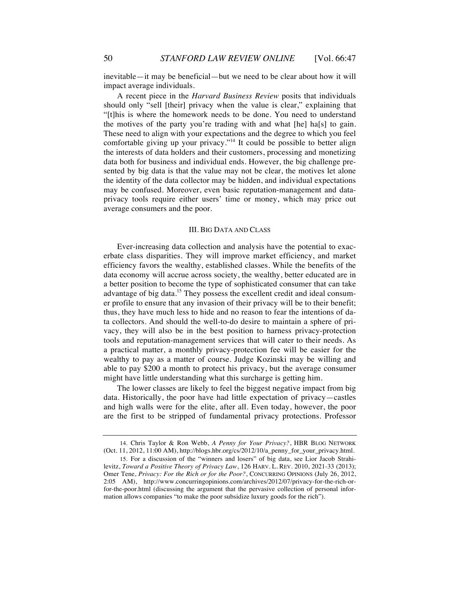inevitable—it may be beneficial—but we need to be clear about how it will impact average individuals.

A recent piece in the *Harvard Business Review* posits that individuals should only "sell [their] privacy when the value is clear," explaining that "[t]his is where the homework needs to be done. You need to understand the motives of the party you're trading with and what [he] ha[s] to gain. These need to align with your expectations and the degree to which you feel comfortable giving up your privacy."<sup>14</sup> It could be possible to better align the interests of data holders and their customers, processing and monetizing data both for business and individual ends. However, the big challenge presented by big data is that the value may not be clear, the motives let alone the identity of the data collector may be hidden, and individual expectations may be confused. Moreover, even basic reputation-management and dataprivacy tools require either users' time or money, which may price out average consumers and the poor.

### III. BIG DATA AND CLASS

Ever-increasing data collection and analysis have the potential to exacerbate class disparities. They will improve market efficiency, and market efficiency favors the wealthy, established classes. While the benefits of the data economy will accrue across society, the wealthy, better educated are in a better position to become the type of sophisticated consumer that can take advantage of big data.<sup>15</sup> They possess the excellent credit and ideal consumer profile to ensure that any invasion of their privacy will be to their benefit; thus, they have much less to hide and no reason to fear the intentions of data collectors. And should the well-to-do desire to maintain a sphere of privacy, they will also be in the best position to harness privacy-protection tools and reputation-management services that will cater to their needs. As a practical matter, a monthly privacy-protection fee will be easier for the wealthy to pay as a matter of course. Judge Kozinski may be willing and able to pay \$200 a month to protect his privacy, but the average consumer might have little understanding what this surcharge is getting him.

The lower classes are likely to feel the biggest negative impact from big data. Historically, the poor have had little expectation of privacy—castles and high walls were for the elite, after all. Even today, however, the poor are the first to be stripped of fundamental privacy protections. Professor

<sup>14.</sup> Chris Taylor & Ron Webb, *A Penny for Your Privacy?*, HBR BLOG NETWORK (Oct. 11, 2012, 11:00 AM), http://blogs.hbr.org/cs/2012/10/a\_penny\_for\_your\_privacy.html.

<sup>15.</sup> For a discussion of the "winners and losers" of big data, see Lior Jacob Strahilevitz, *Toward a Positive Theory of Privacy Law*, 126 HARV. L. REV. 2010, 2021-33 (2013); Omer Tene, *Privacy: For the Rich or for the Poor?*, CONCURRING OPINIONS (July 26, 2012, 2:05 AM), http://www.concurringopinions.com/archives/2012/07/privacy-for-the-rich-orfor-the-poor.html (discussing the argument that the pervasive collection of personal information allows companies "to make the poor subsidize luxury goods for the rich").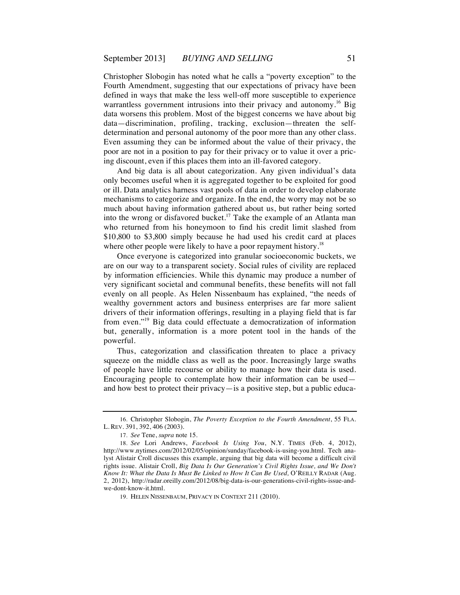Christopher Slobogin has noted what he calls a "poverty exception" to the Fourth Amendment, suggesting that our expectations of privacy have been defined in ways that make the less well-off more susceptible to experience warrantless government intrusions into their privacy and autonomy.<sup>16</sup> Big data worsens this problem. Most of the biggest concerns we have about big data—discrimination, profiling, tracking, exclusion—threaten the selfdetermination and personal autonomy of the poor more than any other class. Even assuming they can be informed about the value of their privacy, the poor are not in a position to pay for their privacy or to value it over a pricing discount, even if this places them into an ill-favored category.

And big data is all about categorization. Any given individual's data only becomes useful when it is aggregated together to be exploited for good or ill. Data analytics harness vast pools of data in order to develop elaborate mechanisms to categorize and organize. In the end, the worry may not be so much about having information gathered about us, but rather being sorted into the wrong or disfavored bucket.17 Take the example of an Atlanta man who returned from his honeymoon to find his credit limit slashed from \$10,800 to \$3,800 simply because he had used his credit card at places where other people were likely to have a poor repayment history.<sup>18</sup>

Once everyone is categorized into granular socioeconomic buckets, we are on our way to a transparent society. Social rules of civility are replaced by information efficiencies. While this dynamic may produce a number of very significant societal and communal benefits, these benefits will not fall evenly on all people. As Helen Nissenbaum has explained, "the needs of wealthy government actors and business enterprises are far more salient drivers of their information offerings, resulting in a playing field that is far from even."19 Big data could effectuate a democratization of information but, generally, information is a more potent tool in the hands of the powerful.

Thus, categorization and classification threaten to place a privacy squeeze on the middle class as well as the poor. Increasingly large swaths of people have little recourse or ability to manage how their data is used. Encouraging people to contemplate how their information can be used and how best to protect their privacy—is a positive step, but a public educa-

<sup>16.</sup> Christopher Slobogin, *The Poverty Exception to the Fourth Amendment*, 55 FLA. L. REV. 391, 392, 406 (2003).

<sup>17.</sup> *See* Tene, *supra* note 15.

<sup>18.</sup> *See* Lori Andrews, *Facebook Is Using You*, N.Y. TIMES (Feb. 4, 2012), http://www.nytimes.com/2012/02/05/opinion/sunday/facebook-is-using-you.html. Tech analyst Alistair Croll discusses this example, arguing that big data will become a difficult civil rights issue. Alistair Croll, *Big Data Is Our Generation's Civil Rights Issue, and We Don't Know It: What the Data Is Must Be Linked to How It Can Be Used,* O'REILLY RADAR (Aug. 2, 2012), http://radar.oreilly.com/2012/08/big-data-is-our-generations-civil-rights-issue-andwe-dont-know-it.html.

<sup>19.</sup> HELEN NISSENBAUM, PRIVACY IN CONTEXT 211 (2010).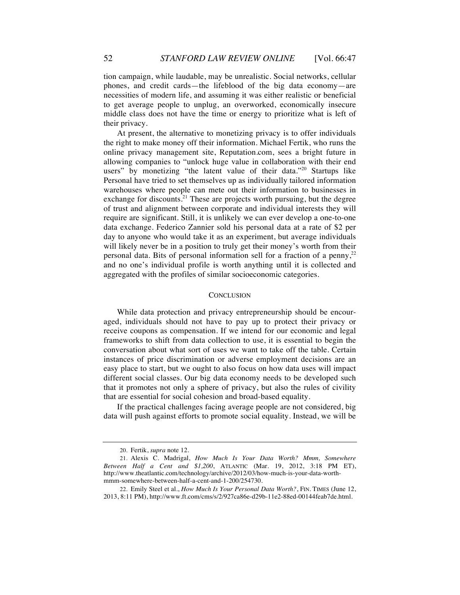tion campaign, while laudable, may be unrealistic. Social networks, cellular phones, and credit cards—the lifeblood of the big data economy—are necessities of modern life, and assuming it was either realistic or beneficial to get average people to unplug, an overworked, economically insecure middle class does not have the time or energy to prioritize what is left of their privacy.

At present, the alternative to monetizing privacy is to offer individuals the right to make money off their information. Michael Fertik, who runs the online privacy management site, Reputation.com, sees a bright future in allowing companies to "unlock huge value in collaboration with their end users" by monetizing "the latent value of their data."<sup>20</sup> Startups like Personal have tried to set themselves up as individually tailored information warehouses where people can mete out their information to businesses in exchange for discounts.<sup>21</sup> These are projects worth pursuing, but the degree of trust and alignment between corporate and individual interests they will require are significant. Still, it is unlikely we can ever develop a one-to-one data exchange. Federico Zannier sold his personal data at a rate of \$2 per day to anyone who would take it as an experiment, but average individuals will likely never be in a position to truly get their money's worth from their personal data. Bits of personal information sell for a fraction of a penny,  $2^2$ and no one's individual profile is worth anything until it is collected and aggregated with the profiles of similar socioeconomic categories.

## **CONCLUSION**

While data protection and privacy entrepreneurship should be encouraged, individuals should not have to pay up to protect their privacy or receive coupons as compensation. If we intend for our economic and legal frameworks to shift from data collection to use, it is essential to begin the conversation about what sort of uses we want to take off the table. Certain instances of price discrimination or adverse employment decisions are an easy place to start, but we ought to also focus on how data uses will impact different social classes. Our big data economy needs to be developed such that it promotes not only a sphere of privacy, but also the rules of civility that are essential for social cohesion and broad-based equality.

If the practical challenges facing average people are not considered, big data will push against efforts to promote social equality. Instead, we will be

<sup>20.</sup> Fertik, *supra* note 12.

<sup>21.</sup> Alexis C. Madrigal, *How Much Is Your Data Worth? Mmm, Somewhere Between Half a Cent and \$1,200*, ATLANTIC (Mar. 19, 2012, 3:18 PM ET), http://www.theatlantic.com/technology/archive/2012/03/how-much-is-your-data-worthmmm-somewhere-between-half-a-cent-and-1-200/254730.

<sup>22.</sup> Emily Steel et al., *How Much Is Your Personal Data Worth?*, FIN. TIMES (June 12, 2013, 8:11 PM), http://www.ft.com/cms/s/2/927ca86e-d29b-11e2-88ed-00144feab7de.html.